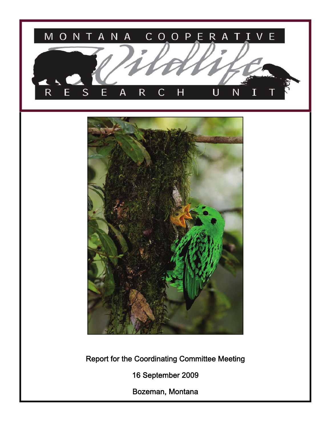



Report for the Coordinating Committee Meeting

16 September 2009

Bozeman, Montana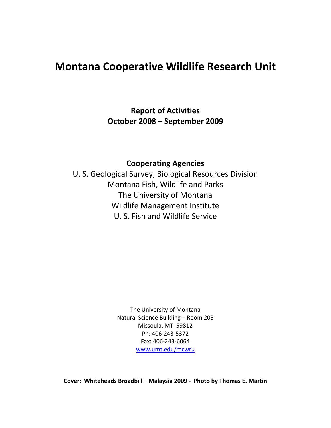# **Montana Cooperative Wildlife Research Unit**

**Report of Activities October 2008 – September 2009**

**Cooperating Agencies**

U. S. Geological Survey, Biological Resources Division Montana Fish, Wildlife and Parks The University of Montana Wildlife Management Institute U. S. Fish and Wildlife Service

> The University of Montana Natural Science Building – Room 205 Missoula, MT 59812 Ph: 406‐243‐5372 Fax: 406‐243‐6064 [www.umt.edu/mcwru](http://www.umt.edu/mcwru)

**Cover: Whiteheads Broadbill – Malaysia 2009 ‐ Photo by Thomas E. Martin**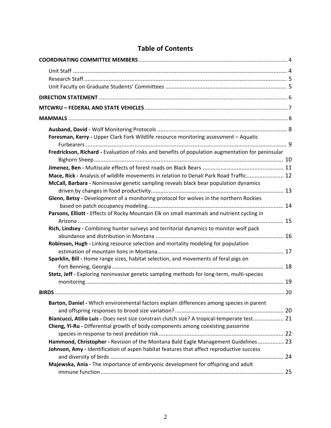| Foresman, Kerry - Upper Clark Fork Wildlife resource monitoring assessment - Aquatic              |  |
|---------------------------------------------------------------------------------------------------|--|
| Fredrickson, Richard - Evaluation of risks and benefits of population augmentation for peninsular |  |
|                                                                                                   |  |
|                                                                                                   |  |
| Mace, Rick - Analysis of wildlife movements in relation to Denali Park Road Traffic 12            |  |
| McCall, Barbara - Noninvasive genetic sampling reveals black bear population dynamics             |  |
|                                                                                                   |  |
| Glenn, Betsy - Development of a monitoring protocol for wolves in the northern Rockies            |  |
|                                                                                                   |  |
| Parsons, Elliott - Effects of Rocky Mountain Elk on small mammals and nutrient cycling in         |  |
|                                                                                                   |  |
| Rich, Lindsey - Combining hunter surveys and territorial dynamics to monitor wolf pack            |  |
|                                                                                                   |  |
| Robinson, Hugh - Linking resource selection and mortality modeling for population                 |  |
|                                                                                                   |  |
| Sparklin, Bill - Home range sizes, habitat selection, and movements of feral pigs on              |  |
|                                                                                                   |  |
| Stetz, Jeff - Exploring noninvasive genetic sampling methods for long-term, multi-species         |  |
|                                                                                                   |  |
|                                                                                                   |  |
|                                                                                                   |  |
| Barton, Daniel - Which environmental factors explain differences among species in parent          |  |
|                                                                                                   |  |
| Biancucci, Atilio Luis - Does nest size constrain clutch size? A tropical-temperate test 21       |  |
| Cheng, Yi-Ru - Differential growth of body components among coexisting passerine                  |  |
|                                                                                                   |  |
| Hammond, Christopher - Revision of the Montana Bald Eagle Management Guidelines 23                |  |
| Johnson, Amy - Identification of aspen habitat features that affect reproductive success          |  |
|                                                                                                   |  |
| Majewska, Ania - The importance of embryonic development for offspring and adult                  |  |
|                                                                                                   |  |

# **Table of Contents**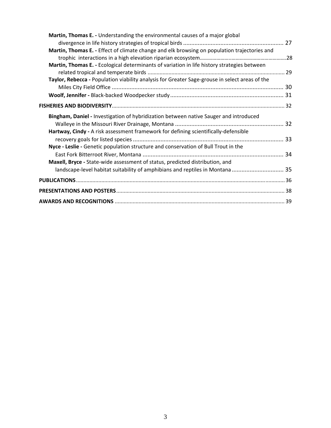| Martin, Thomas E. - Understanding the environmental causes of a major global                   |  |
|------------------------------------------------------------------------------------------------|--|
|                                                                                                |  |
| Martin, Thomas E. - Effect of climate change and elk browsing on population trajectories and   |  |
|                                                                                                |  |
| Martin, Thomas E. - Ecological determinants of variation in life history strategies between    |  |
|                                                                                                |  |
| Taylor, Rebecca - Population viability analysis for Greater Sage-grouse in select areas of the |  |
|                                                                                                |  |
|                                                                                                |  |
|                                                                                                |  |
| Bingham, Daniel - Investigation of hybridization between native Sauger and introduced          |  |
|                                                                                                |  |
| Hartway, Cindy - A risk assessment framework for defining scientifically-defensible            |  |
|                                                                                                |  |
| Nyce - Leslie - Genetic population structure and conservation of Bull Trout in the             |  |
|                                                                                                |  |
| Maxell, Bryce - State-wide assessment of status, predicted distribution, and                   |  |
|                                                                                                |  |
|                                                                                                |  |
|                                                                                                |  |
|                                                                                                |  |
|                                                                                                |  |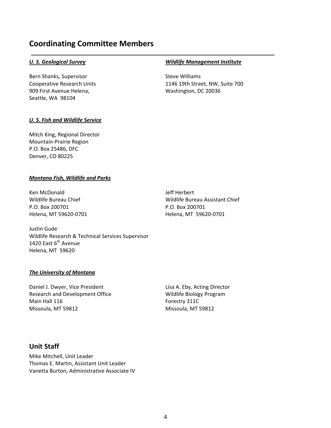# <span id="page-4-0"></span>**Coordinating Committee Members**

Bern Shanks, Supervisor **Business** Steve Williams 909 First Avenue Helena, and the metal washington, DC 20036 Seattle, WA 98104

#### *U. S. Geological Survey* *Wildlife Management Institute*

Cooperative Research Units 1146 19th Street, NW, Suite 700

#### *U. S. Fish and Wildlife Service*

Mitch King, Regional Director Mountain‐Prairie Region P.O. Box 25486, DFC Denver, CO 80225

#### *Montana Fish, Wildlife and Parks*

Ken McDonald **The Contract of Contract Contract Contract Contract Contract Contract Contract Contract Contract Contract Contract Contract Contract Contract Contract Contract Contract Contract Contract Contract Contract Con** Wildlife Bureau Chief Wildlife Bureau Assistant Chief P.O. Box 200701 P.O. Box 200701 Helena, MT 59620‐0701 Helena, MT 59620‐0701

Justin Gude Wildlife Research & Technical Services Supervisor 1420 East 6<sup>th</sup> Avenue Helena, MT 59620

#### *The University of Montana*

Daniel J. Dwyer, Vice President **Lisa A. Eby, Acting Director** Research and Development Office **South Americas Controller Studies** Wildlife Biology Program Main Hall 116 Forestry 311C Missoula, MT 59812 Missoula, MT 59812

# **Unit Staff**

Mike Mitchell, Unit Leader Thomas E. Martin, Assistant Unit Leader Vanetta Burton, Administrative Associate IV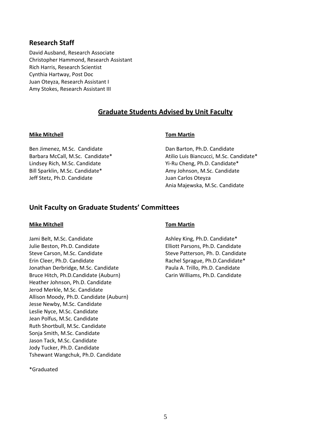# <span id="page-5-0"></span>**Research Staff**

David Ausband, Research Associate Christopher Hammond, Research Assistant Rich Harris, Research Scientist Cynthia Hartway, Post Doc Juan Oteyza, Research Assistant I Amy Stokes, Research Assistant III

# **Graduate Students Advised by Unit Faculty**

#### **Mike Mitchell Tom Martin**

Ben Jimenez, M.Sc. Candidate **Bank Barton, Ph.D. Candidate Dan Barton, Ph.D. Candidate** Lindsey Rich, M.Sc. Candidate Yi‐Ru Cheng, Ph.D. Candidate\* Bill Sparklin, M.Sc. Candidate\* Amy Johnson, M.Sc. Candidate Jeff Stetz, Ph.D. Candidate Juan Carlos Oteyza

Barbara McCall, M.Sc. Candidate\* Atilio Luis Biancucci, M.Sc. Candidate\* Ania Majewska, M.Sc. Candidate

# **Unit Faculty on Graduate Students' Committees**

#### **Mike Mitchell Tom Martin**

Jami Belt, M.Sc. Candidate *Ashley King, Ph.D. Candidate\* Ashley King, Ph.D. Candidate\** Julie Beston, Ph.D. Candidate Elliott Parsons, Ph.D. Candidate Steve Carson, M.Sc. Candidate Steve Patterson, Ph. D. Candidate Erin Cleer, Ph.D. Candidate **Series and Elected Sprague, Ph.D.Candidate**\* Jonathan Derbridge, M.Sc. Candidate Paula A. Trillo, Ph.D. Candidate Bruce Hitch, Ph.D.Candidate (Auburn) Carin Williams, Ph.D. Candidate Heather Johnson, Ph.D. Candidate Jerod Merkle, M.Sc. Candidate Allison Moody, Ph.D. Candidate (Auburn) Jesse Newby, M.Sc. Candidate Leslie Nyce, M.Sc. Candidate Jean Polfus, M.Sc. Candidate Ruth Shortbull, M.Sc. Candidate Sonja Smith, M.Sc. Candidate Jason Tack, M.Sc. Candidate Jody Tucker, Ph.D. Candidate Tshewant Wangchuk, Ph.D. Candidate

\*Graduated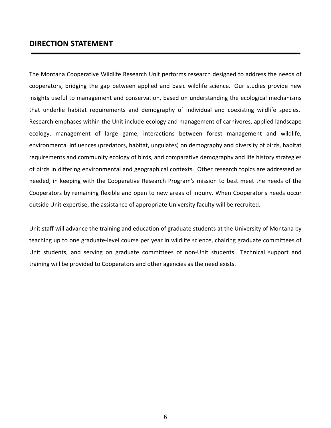# <span id="page-6-0"></span>**DIRECTION STATEMENT**

The Montana Cooperative Wildlife Research Unit performs research designed to address the needs of cooperators, bridging the gap between applied and basic wildlife science. Our studies provide new insights useful to management and conservation, based on understanding the ecological mechanisms that underlie habitat requirements and demography of individual and coexisting wildlife species. Research emphases within the Unit include ecology and management of carnivores, applied landscape ecology, management of large game, interactions between forest management and wildlife, environmental influences (predators, habitat, ungulates) on demography and diversity of birds, habitat requirements and community ecology of birds, and comparative demography and life history strategies of birds in differing environmental and geographical contexts. Other research topics are addressed as needed, in keeping with the Cooperative Research Program's mission to best meet the needs of the Cooperators by remaining flexible and open to new areas of inquiry. When Cooperator's needs occur outside Unit expertise, the assistance of appropriate University faculty will be recruited.

Unit staff will advance the training and education of graduate students at the University of Montana by teaching up to one graduate‐level course per year in wildlife science, chairing graduate committees of Unit students, and serving on graduate committees of non‐Unit students. Technical support and training will be provided to Cooperators and other agencies as the need exists.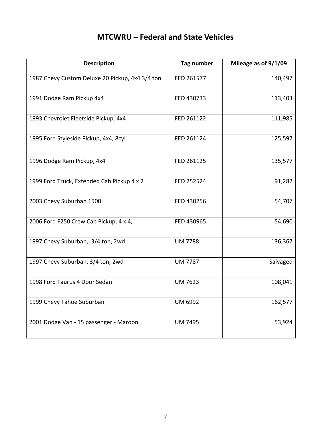# **MTCWRU – Federal and State Vehicles**

<span id="page-7-0"></span>

| <b>Description</b>                              | Tag number     | Mileage as of 9/1/09 |
|-------------------------------------------------|----------------|----------------------|
| 1987 Chevy Custom Deluxe 20 Pickup, 4x4 3/4 ton | FED 261577     | 140,497              |
| 1991 Dodge Ram Pickup 4x4                       | FED 430733     | 113,403              |
| 1993 Chevrolet Fleetside Pickup, 4x4            | FED 261122     | 111,985              |
| 1995 Ford Styleside Pickup, 4x4, 8cyl           | FED 261124     | 125,597              |
| 1996 Dodge Ram Pickup, 4x4                      | FED 261125     | 135,577              |
| 1999 Ford Truck, Extended Cab Pickup 4 x 2      | FED 252524     | 91,282               |
| 2003 Chevy Suburban 1500                        | FED 430256     | 54,707               |
| 2006 Ford F250 Crew Cab Pickup, 4 x 4,          | FED 430965     | 54,690               |
| 1997 Chevy Suburban, 3/4 ton, 2wd               | <b>UM 7788</b> | 136,367              |
| 1997 Chevy Suburban, 3/4 ton, 2wd               | <b>UM 7787</b> | Salvaged             |
| 1998 Ford Taurus 4 Door Sedan                   | <b>UM 7623</b> | 108,041              |
| 1999 Chevy Tahoe Suburban                       | <b>UM 6992</b> | 162,577              |
| 2001 Dodge Van - 15 passenger - Maroon          | <b>UM 7495</b> | 53,924               |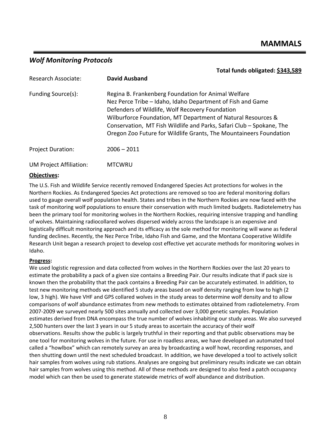# <span id="page-8-0"></span>*Wolf Monitoring Protocols*

|                                | Total funds obligated: \$343,589                                                                                                                                                                                                                                                                                                                                                   |
|--------------------------------|------------------------------------------------------------------------------------------------------------------------------------------------------------------------------------------------------------------------------------------------------------------------------------------------------------------------------------------------------------------------------------|
| Research Associate:            | <b>David Ausband</b>                                                                                                                                                                                                                                                                                                                                                               |
| Funding Source(s):             | Regina B. Frankenberg Foundation for Animal Welfare<br>Nez Perce Tribe - Idaho, Idaho Department of Fish and Game<br>Defenders of Wildlife, Wolf Recovery Foundation<br>Wilburforce Foundation, MT Department of Natural Resources &<br>Conservation, MT Fish Wildlife and Parks, Safari Club - Spokane, The<br>Oregon Zoo Future for Wildlife Grants, The Mountaineers Foundation |
| <b>Project Duration:</b>       | $2006 - 2011$                                                                                                                                                                                                                                                                                                                                                                      |
| <b>UM Project Affiliation:</b> | <b>MTCWRU</b>                                                                                                                                                                                                                                                                                                                                                                      |

## **Objectives:**

The U.S. Fish and Wildlife Service recently removed Endangered Species Act protections for wolves in the Northern Rockies. As Endangered Species Act protections are removed so too are federal monitoring dollars used to gauge overall wolf population health. States and tribes in the Northern Rockies are now faced with the task of monitoring wolf populations to ensure their conservation with much limited budgets. Radiotelemetry has been the primary tool for monitoring wolves in the Northern Rockies, requiring intensive trapping and handling of wolves. Maintaining radiocollared wolves dispersed widely across the landscape is an expensive and logistically difficult monitoring approach and its efficacy as the sole method for monitoring will wane as federal funding declines. Recently, the Nez Perce Tribe, Idaho Fish and Game, and the Montana Cooperative Wildlife Research Unit began a research project to develop cost effective yet accurate methods for monitoring wolves in Idaho.

### **Progress:**

We used logistic regression and data collected from wolves in the Northern Rockies over the last 20 years to estimate the probability a pack of a given size contains a Breeding Pair. Our results indicate that if pack size is known then the probability that the pack contains a Breeding Pair can be accurately estimated. In addition, to test new monitoring methods we identified 5 study areas based on wolf density ranging from low to high (2 low, 3 high). We have VHF and GPS collared wolves in the study areas to determine wolf density and to allow comparisons of wolf abundance estimates from new methods to estimates obtained from radiotelemetry. From 2007‐2009 we surveyed nearly 500 sites annually and collected over 3,000 genetic samples. Population estimates derived from DNA encompass the true number of wolves inhabiting our study areas. We also surveyed 2,500 hunters over the last 3 years in our 5 study areas to ascertain the accuracy of their wolf observations. Results show the public is largely truthful in their reporting and that public observations may be one tool for monitoring wolves in the future. For use in roadless areas, we have developed an automated tool called a "howlbox" which can remotely survey an area by broadcasting a wolf howl, recording responses, and then shutting down until the next scheduled broadcast. In addition, we have developed a tool to actively solicit hair samples from wolves using rub stations. Analyses are ongoing but preliminary results indicate we can obtain hair samples from wolves using this method. All of these methods are designed to also feed a patch occupancy model which can then be used to generate statewide metrics of wolf abundance and distribution.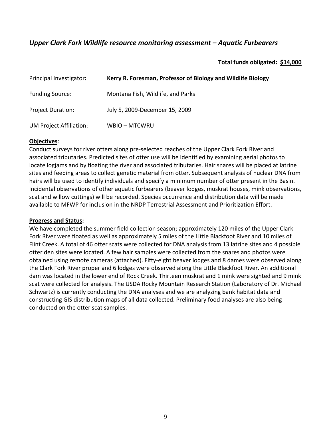# <span id="page-9-0"></span>*Upper Clark Fork Wildlife resource monitoring assessment – Aquatic Furbearers*

# **Total funds obligated: \$14,000**

| Principal Investigator:  | Kerry R. Foresman, Professor of Biology and Wildlife Biology |
|--------------------------|--------------------------------------------------------------|
| <b>Funding Source:</b>   | Montana Fish, Wildlife, and Parks                            |
| <b>Project Duration:</b> | July 5, 2009-December 15, 2009                               |
| UM Project Affiliation:  | <b>WBIO-MTCWRU</b>                                           |

## **Objectives**:

Conduct surveys for river otters along pre‐selected reaches of the Upper Clark Fork River and associated tributaries. Predicted sites of otter use will be identified by examining aerial photos to locate logjams and by floating the river and associated tributaries. Hair snares will be placed at latrine sites and feeding areas to collect genetic material from otter. Subsequent analysis of nuclear DNA from hairs will be used to identify individuals and specify a minimum number of otter present in the Basin. Incidental observations of other aquatic furbearers (beaver lodges, muskrat houses, mink observations, scat and willow cuttings) will be recorded. Species occurrence and distribution data will be made available to MFWP for inclusion in the NRDP Terrestrial Assessment and Prioritization Effort.

## **Progress and Status:**

We have completed the summer field collection season; approximately 120 miles of the Upper Clark Fork River were floated as well as approximately 5 miles of the Little Blackfoot River and 10 miles of Flint Creek. A total of 46 otter scats were collected for DNA analysis from 13 latrine sites and 4 possible otter den sites were located. A few hair samples were collected from the snares and photos were obtained using remote cameras (attached). Fifty‐eight beaver lodges and 8 dames were observed along the Clark Fork River proper and 6 lodges were observed along the Little Blackfoot River. An additional dam was located in the lower end of Rock Creek. Thirteen muskrat and 1 mink were sighted and 9 mink scat were collected for analysis. The USDA Rocky Mountain Research Station (Laboratory of Dr. Michael Schwartz) is currently conducting the DNA analyses and we are analyzing bank habitat data and constructing GIS distribution maps of all data collected. Preliminary food analyses are also being conducted on the otter scat samples.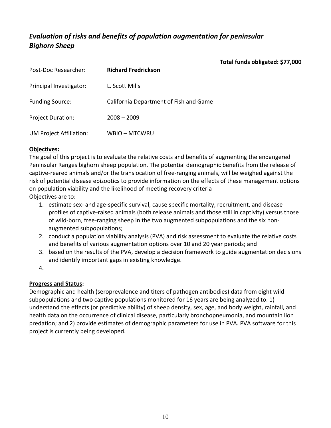# <span id="page-10-0"></span>*Evaluation of risks and benefits of population augmentation for peninsular Bighorn Sheep*

**Total funds obligated: \$77,000**

| Post-Doc Researcher:           | <b>Richard Fredrickson</b>             |
|--------------------------------|----------------------------------------|
| Principal Investigator:        | L. Scott Mills                         |
| <b>Funding Source:</b>         | California Department of Fish and Game |
| <b>Project Duration:</b>       | $2008 - 2009$                          |
| <b>UM Project Affiliation:</b> | WBIO - MTCWRU                          |

# **Objectives:**

The goal of this project is to evaluate the relative costs and benefits of augmenting the endangered Peninsular Ranges bighorn sheep population. The potential demographic benefits from the release of captive‐reared animals and/or the translocation of free‐ranging animals, will be weighed against the risk of potential disease epizootics to provide information on the effects of these management options on population viability and the likelihood of meeting recovery criteria Objectives are to:

- 1. estimate sex‐ and age‐specific survival, cause specific mortality, recruitment, and disease profiles of captive‐raised animals (both release animals and those still in captivity) versus those of wild‐born, free‐ranging sheep in the two augmented subpopulations and the six non‐ augmented subpopulations;
- 2. conduct a population viability analysis (PVA) and risk assessment to evaluate the relative costs and benefits of various augmentation options over 10 and 20 year periods; and
- 3. based on the results of the PVA, develop a decision framework to guide augmentation decisions and identify important gaps in existing knowledge.
- 4.

# **Progress and Status:**

Demographic and health (seroprevalence and titers of pathogen antibodies) data from eight wild subpopulations and two captive populations monitored for 16 years are being analyzed to: 1) understand the effects (or predictive ability) of sheep density, sex, age, and body weight, rainfall, and health data on the occurrence of clinical disease, particularly bronchopneumonia, and mountain lion predation; and 2) provide estimates of demographic parameters for use in PVA. PVA software for this project is currently being developed.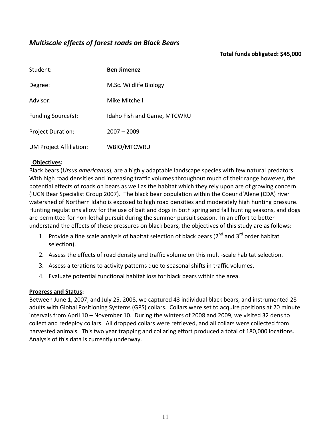# <span id="page-11-0"></span>*Multiscale effects of forest roads on Black Bears*

## **Total funds obligated: \$45,000**

| Student:                 | <b>Ben Jimenez</b>                 |
|--------------------------|------------------------------------|
| Degree:                  | M.Sc. Wildlife Biology             |
| Advisor:                 | Mike Mitchell                      |
| Funding Source(s):       | <b>Idaho Fish and Game, MTCWRU</b> |
| <b>Project Duration:</b> | $2007 - 2009$                      |
| UM Project Affiliation:  | WBIO/MTCWRU                        |

## **Objectives:**

Black bears (*Ursus americanus*), are a highly adaptable landscape species with few natural predators. With high road densities and increasing traffic volumes throughout much of their range however, the potential effects of roads on bears as well as the habitat which they rely upon are of growing concern (IUCN Bear Specialist Group 2007). The black bear population within the Coeur d'Alene (CDA) river watershed of Northern Idaho is exposed to high road densities and moderately high hunting pressure. Hunting regulations allow for the use of bait and dogs in both spring and fall hunting seasons, and dogs are permitted for non‐lethal pursuit during the summer pursuit season. In an effort to better understand the effects of these pressures on black bears, the objectives of this study are as follows:

- 1. Provide a fine scale analysis of habitat selection of black bears ( $2^{nd}$  and  $3^{rd}$  order habitat selection).
- 2. Assess the effects of road density and traffic volume on this multi‐scale habitat selection.
- 3. Assess alterations to activity patterns due to seasonal shifts in traffic volumes.
- 4. Evaluate potential functional habitat loss for black bears within the area.

### **Progress and Status:**

Between June 1, 2007, and July 25, 2008, we captured 43 individual black bears, and instrumented 28 adults with Global Positioning Systems (GPS) collars. Collars were set to acquire positions at 20 minute intervals from April 10 – November 10. During the winters of 2008 and 2009, we visited 32 dens to collect and redeploy collars. All dropped collars were retrieved, and all collars were collected from harvested animals. This two year trapping and collaring effort produced a total of 180,000 locations. Analysis of this data is currently underway.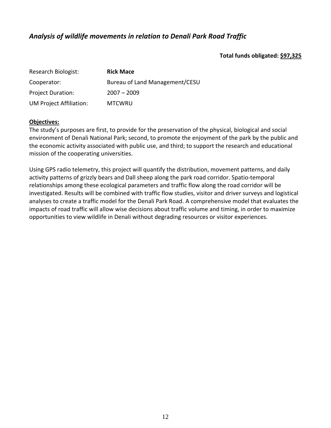# <span id="page-12-0"></span>*Analysis of wildlife movements in relation to Denali Park Road Traffic*

**Total funds obligated: \$97,325**

| Research Biologist:            | <b>Rick Mace</b>               |
|--------------------------------|--------------------------------|
| Cooperator:                    | Bureau of Land Management/CESU |
| <b>Project Duration:</b>       | $2007 - 2009$                  |
| <b>UM Project Affiliation:</b> | <b>MTCWRU</b>                  |

## **Objectives:**

The study's purposes are first, to provide for the preservation of the physical, biological and social environment of Denali National Park; second, to promote the enjoyment of the park by the public and the economic activity associated with public use, and third; to support the research and educational mission of the cooperating universities.

Using GPS radio telemetry, this project will quantify the distribution, movement patterns, and daily activity patterns of grizzly bears and Dall sheep along the park road corridor. Spatio‐temporal relationships among these ecological parameters and traffic flow along the road corridor will be investigated. Results will be combined with traffic flow studies, visitor and driver surveys and logistical analyses to create a traffic model for the Denali Park Road. A comprehensive model that evaluates the impacts of road traffic will allow wise decisions about traffic volume and timing, in order to maximize opportunities to view wildlife in Denali without degrading resources or visitor experiences.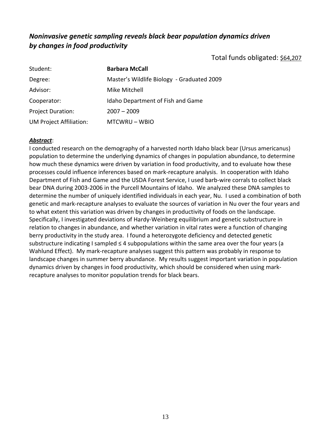# <span id="page-13-0"></span>*Noninvasive genetic sampling reveals black bear population dynamics driven by changes in food productivity*

Total funds obligated: \$64,207

| Student:                       | <b>Barbara McCall</b>                      |
|--------------------------------|--------------------------------------------|
| Degree:                        | Master's Wildlife Biology - Graduated 2009 |
| Advisor:                       | Mike Mitchell                              |
| Cooperator:                    | Idaho Department of Fish and Game          |
| <b>Project Duration:</b>       | $2007 - 2009$                              |
| <b>UM Project Affiliation:</b> | MTCWRU-WBIO                                |

## *Abstract*:

I conducted research on the demography of a harvested north Idaho black bear (Ursus americanus) population to determine the underlying dynamics of changes in population abundance, to determine how much these dynamics were driven by variation in food productivity, and to evaluate how these processes could influence inferences based on mark‐recapture analysis. In cooperation with Idaho Department of Fish and Game and the USDA Forest Service, I used barb-wire corrals to collect black bear DNA during 2003‐2006 in the Purcell Mountains of Idaho. We analyzed these DNA samples to determine the number of uniquely identified individuals in each year, Nu. I used a combination of both genetic and mark‐recapture analyses to evaluate the sources of variation in Nu over the four years and to what extent this variation was driven by changes in productivity of foods on the landscape. Specifically, I investigated deviations of Hardy‐Weinberg equilibrium and genetic substructure in relation to changes in abundance, and whether variation in vital rates were a function of changing berry productivity in the study area. I found a heterozygote deficiency and detected genetic substructure indicating I sampled  $\leq 4$  subpopulations within the same area over the four years (a Wahlund Effect). My mark-recapture analyses suggest this pattern was probably in response to landscape changes in summer berry abundance. My results suggest important variation in population dynamics driven by changes in food productivity, which should be considered when using mark‐ recapture analyses to monitor population trends for black bears.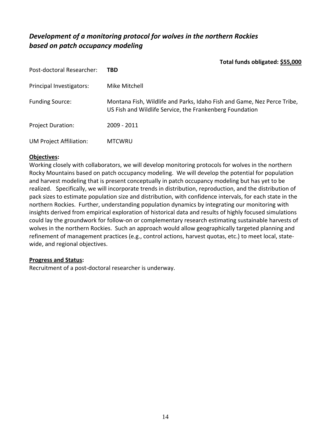# <span id="page-14-0"></span>*Development of a monitoring protocol for wolves in the northern Rockies based on patch occupancy modeling*

**Total funds obligated: \$55,000**

| Post-doctoral Researcher: | TBD                                                                                                                                 |
|---------------------------|-------------------------------------------------------------------------------------------------------------------------------------|
| Principal Investigators:  | Mike Mitchell                                                                                                                       |
| <b>Funding Source:</b>    | Montana Fish, Wildlife and Parks, Idaho Fish and Game, Nez Perce Tribe,<br>US Fish and Wildlife Service, the Frankenberg Foundation |
| <b>Project Duration:</b>  | 2009 - 2011                                                                                                                         |
| UM Project Affiliation:   | <b>MTCWRU</b>                                                                                                                       |

## **Objectives:**

Working closely with collaborators, we will develop monitoring protocols for wolves in the northern Rocky Mountains based on patch occupancy modeling. We will develop the potential for population and harvest modeling that is present conceptually in patch occupancy modeling but has yet to be realized. Specifically, we will incorporate trends in distribution, reproduction, and the distribution of pack sizes to estimate population size and distribution, with confidence intervals, for each state in the northern Rockies. Further, understanding population dynamics by integrating our monitoring with insights derived from empirical exploration of historical data and results of highly focused simulations could lay the groundwork for follow‐on or complementary research estimating sustainable harvests of wolves in the northern Rockies. Such an approach would allow geographically targeted planning and refinement of management practices (e.g., control actions, harvest quotas, etc.) to meet local, state‐ wide, and regional objectives.

## **Progress and Status:**

Recruitment of a post‐doctoral researcher is underway.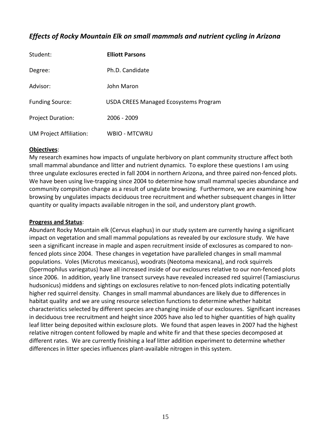# <span id="page-15-0"></span>*Effects of Rocky Mountain Elk on small mammals and nutrient cycling in Arizona*

| Student:                       | <b>Elliott Parsons</b>                       |
|--------------------------------|----------------------------------------------|
| Degree:                        | Ph.D. Candidate                              |
| Advisor:                       | John Maron                                   |
| <b>Funding Source:</b>         | <b>USDA CREES Managed Ecosystems Program</b> |
| <b>Project Duration:</b>       | $2006 - 2009$                                |
| <b>UM Project Affiliation:</b> | <b>WBIO - MTCWRU</b>                         |

### **Objectives**:

My research examines how impacts of ungulate herbivory on plant community structure affect both small mammal abundance and litter and nutrient dynamics. To explore these questions I am using three ungulate exclosures erected in fall 2004 in northern Arizona, and three paired non‐fenced plots. We have been using live-trapping since 2004 to determine how small mammal species abundance and community compsition change as a result of ungulate browsing. Furthermore, we are examining how browsing by ungulates impacts deciduous tree recruitment and whether subsequent changes in litter quantity or quality impacts available nitrogen in the soil, and understory plant growth.

### **Progress and Status**:

Abundant Rocky Mountain elk (Cervus elaphus) in our study system are currently having a significant impact on vegetation and small mammal populations as revealed by our exclosure study. We have seen a significant increase in maple and aspen recruitment inside of exclosures as compared to non‐ fenced plots since 2004. These changes in vegetation have paralleled changes in small mammal populations. Voles (Microtus mexicanus), woodrats (Neotoma mexicana), and rock squirrels (Spermophilus variegatus) have all increased inside of our exclosures relative to our non‐fenced plots since 2006. In addition, yearly line transect surveys have revealed increased red squirrel (Tamiasciurus hudsonicus) middens and sightings on exclosures relative to non-fenced plots indicating potentially higher red squirrel density. Changes in small mammal abundances are likely due to differences in habitat quality and we are using resource selection functions to determine whether habitat characteristics selected by different species are changing inside of our exclosures. Significant increases in deciduous tree recruitment and height since 2005 have also led to higher quantities of high quality leaf litter being deposited within exclosure plots. We found that aspen leaves in 2007 had the highest relative nitrogen content followed by maple and white fir and that these species decomposed at different rates. We are currently finishing a leaf litter addition experiment to determine whether differences in litter species influences plant‐available nitrogen in this system.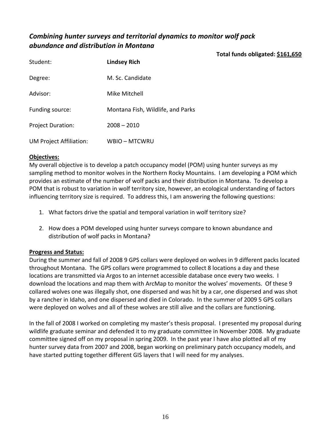# <span id="page-16-0"></span>*Combining hunter surveys and territorial dynamics to monitor wolf pack abundance and distribution in Montana*

**Total funds obligated: \$161,650**

| Student:                 | <b>Lindsey Rich</b>               |
|--------------------------|-----------------------------------|
| Degree:                  | M. Sc. Candidate                  |
| Advisor:                 | Mike Mitchell                     |
| Funding source:          | Montana Fish, Wildlife, and Parks |
| <b>Project Duration:</b> | $2008 - 2010$                     |
| UM Project Affiliation:  | WBIO - MTCWRU                     |

## **Objectives:**

My overall objective is to develop a patch occupancy model (POM) using hunter surveys as my sampling method to monitor wolves in the Northern Rocky Mountains. I am developing a POM which provides an estimate of the number of wolf packs and their distribution in Montana. To develop a POM that is robust to variation in wolf territory size, however, an ecological understanding of factors influencing territory size is required. To address this, I am answering the following questions:

- 1. What factors drive the spatial and temporal variation in wolf territory size?
- 2. How does a POM developed using hunter surveys compare to known abundance and distribution of wolf packs in Montana?

## **Progress and Status:**

During the summer and fall of 2008 9 GPS collars were deployed on wolves in 9 different packs located throughout Montana. The GPS collars were programmed to collect 8 locations a day and these locations are transmitted via Argos to an internet accessible database once every two weeks. I download the locations and map them with ArcMap to monitor the wolves' movements. Of these 9 collared wolves one was illegally shot, one dispersed and was hit by a car, one dispersed and was shot by a rancher in Idaho, and one dispersed and died in Colorado. In the summer of 2009 5 GPS collars were deployed on wolves and all of these wolves are still alive and the collars are functioning.

In the fall of 2008 I worked on completing my master's thesis proposal. I presented my proposal during wildlife graduate seminar and defended it to my graduate committee in November 2008. My graduate committee signed off on my proposal in spring 2009. In the past year I have also plotted all of my hunter survey data from 2007 and 2008, began working on preliminary patch occupancy models, and have started putting together different GIS layers that I will need for my analyses.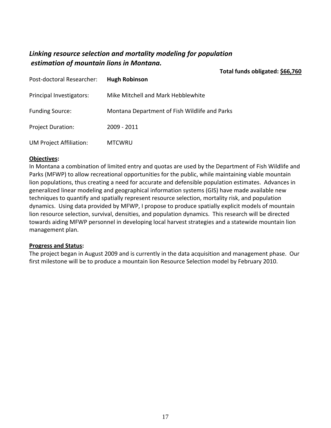# <span id="page-17-0"></span>*Linking resource selection and mortality modeling for population estimation of mountain lions in Montana.*

**Total funds obligated: \$66,760**

| Post-doctoral Researcher: | <b>Hugh Robinson</b>                          |
|---------------------------|-----------------------------------------------|
| Principal Investigators:  | Mike Mitchell and Mark Hebblewhite            |
| <b>Funding Source:</b>    | Montana Department of Fish Wildlife and Parks |
| <b>Project Duration:</b>  | 2009 - 2011                                   |
| UM Project Affiliation:   | <b>MTCWRU</b>                                 |

### **Objectives:**

In Montana a combination of limited entry and quotas are used by the Department of Fish Wildlife and Parks (MFWP) to allow recreational opportunities for the public, while maintaining viable mountain lion populations, thus creating a need for accurate and defensible population estimates. Advances in generalized linear modeling and geographical information systems (GIS) have made available new techniques to quantify and spatially represent resource selection, mortality risk, and population dynamics. Using data provided by MFWP, I propose to produce spatially explicit models of mountain lion resource selection, survival, densities, and population dynamics. This research will be directed towards aiding MFWP personnel in developing local harvest strategies and a statewide mountain lion management plan.

### **Progress and Status:**

The project began in August 2009 and is currently in the data acquisition and management phase. Our first milestone will be to produce a mountain lion Resource Selection model by February 2010.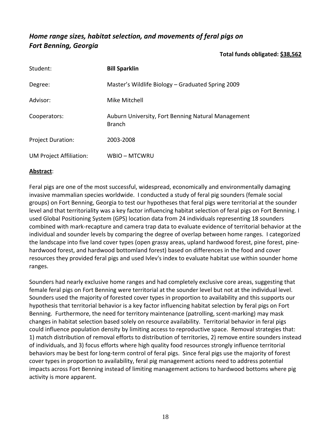# <span id="page-18-0"></span>*Home range sizes, habitat selection, and movements of feral pigs on Fort Benning, Georgia*

## **Total funds obligated: \$38,562**

| Student:                 | <b>Bill Sparklin</b>                                                |
|--------------------------|---------------------------------------------------------------------|
| Degree:                  | Master's Wildlife Biology – Graduated Spring 2009                   |
| Advisor:                 | Mike Mitchell                                                       |
| Cooperators:             | Auburn University, Fort Benning Natural Management<br><b>Branch</b> |
| <b>Project Duration:</b> | 2003-2008                                                           |
| UM Project Affiliation:  | WBIO – MTCWRU                                                       |

## **Abstract**:

Feral pigs are one of the most successful, widespread, economically and environmentally damaging invasive mammalian species worldwide. I conducted a study of feral pig sounders (female social groups) on Fort Benning, Georgia to test our hypotheses that feral pigs were territorial at the sounder level and that territoriality was a key factor influencing habitat selection of feral pigs on Fort Benning. I used Global Positioning System (GPS) location data from 24 individuals representing 18 sounders combined with mark‐recapture and camera trap data to evaluate evidence of territorial behavior at the individual and sounder levels by comparing the degree of overlap between home ranges. I categorized the landscape into five land cover types (open grassy areas, upland hardwood forest, pine forest, pine‐ hardwood forest, and hardwood bottomland forest) based on differences in the food and cover resources they provided feral pigs and used Ivlev's index to evaluate habitat use within sounder home ranges.

Sounders had nearly exclusive home ranges and had completely exclusive core areas, suggesting that female feral pigs on Fort Benning were territorial at the sounder level but not at the individual level. Sounders used the majority of forested cover types in proportion to availability and this supports our hypothesis that territorial behavior is a key factor influencing habitat selection by feral pigs on Fort Benning. Furthermore, the need for territory maintenance (patrolling, scent‐marking) may mask changes in habitat selection based solely on resource availability. Territorial behavior in feral pigs could influence population density by limiting access to reproductive space. Removal strategies that: 1) match distribution of removal efforts to distribution of territories, 2) remove entire sounders instead of individuals, and 3) focus efforts where high quality food resources strongly influence territorial behaviors may be best for long-term control of feral pigs. Since feral pigs use the majority of forest cover types in proportion to availability, feral pig management actions need to address potential impacts across Fort Benning instead of limiting management actions to hardwood bottoms where pig activity is more apparent.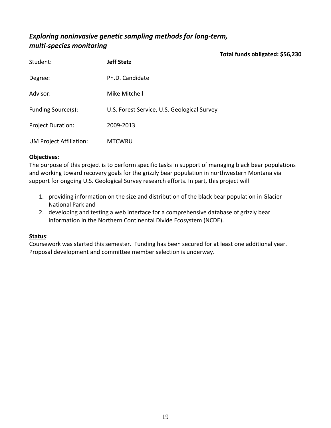# <span id="page-19-0"></span>*Exploring noninvasive genetic sampling methods for long‐term, multi‐species monitoring*

**Total funds obligated: \$56,230**

| Student:                       | <b>Jeff Stetz</b>                           |
|--------------------------------|---------------------------------------------|
| Degree:                        | Ph.D. Candidate                             |
| Advisor:                       | Mike Mitchell                               |
| Funding Source(s):             | U.S. Forest Service, U.S. Geological Survey |
| <b>Project Duration:</b>       | 2009-2013                                   |
| <b>UM Project Affiliation:</b> | <b>MTCWRU</b>                               |

# **Objectives**:

The purpose of this project is to perform specific tasks in support of managing black bear populations and working toward recovery goals for the grizzly bear population in northwestern Montana via support for ongoing U.S. Geological Survey research efforts. In part, this project will

- 1. providing information on the size and distribution of the black bear population in Glacier National Park and
- 2. developing and testing a web interface for a comprehensive database of grizzly bear information in the Northern Continental Divide Ecosystem (NCDE).

## **Status**:

Coursework was started this semester. Funding has been secured for at least one additional year. Proposal development and committee member selection is underway.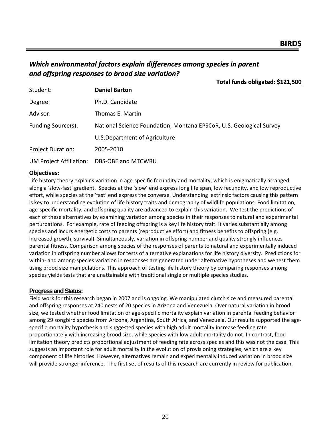# <span id="page-20-0"></span>*Which environmental factors explain differences among species in parent and offspring responses to brood size variation?*

|                                | Total funds obligated: \$121,500                                    |
|--------------------------------|---------------------------------------------------------------------|
| Student:                       | <b>Daniel Barton</b>                                                |
| Degree:                        | Ph.D. Candidate                                                     |
| Advisor:                       | Thomas E. Martin                                                    |
| Funding Source(s):             | National Science Foundation, Montana EPSCoR, U.S. Geological Survey |
|                                | U.S. Department of Agriculture                                      |
| <b>Project Duration:</b>       | 2005-2010                                                           |
| <b>UM Project Affiliation:</b> | DBS-OBE and MTCWRU                                                  |

#### **Objectives:**

Life history theory explains variation in age‐specific fecundity and mortality, which is enigmatically arranged along a 'slow‐fast' gradient. Species at the 'slow' end express long life span, low fecundity, and low reproductive effort, while species at the 'fast' end express the converse. Understanding extrinsic factors causing this pattern is key to understanding evolution of life history traits and demography of wildlife populations. Food limitation, age‐specific mortality, and offspring quality are advanced to explain this variation. We test the predictions of each of these alternatives by examining variation among species in their responses to natural and experimental perturbations. For example, rate of feeding offspring is a key life history trait. It varies substantially among species and incurs energetic costs to parents (reproductive effort) and fitness benefits to offspring (e.g. increased growth, survival). Simultaneously, variation in offspring number and quality strongly influences parental fitness. Comparison among species of the responses of parents to natural and experimentally induced variation in offspring number allows for tests of alternative explanations for life history diversity. Predictions for within- and among-species variation in responses are generated under alternative hypotheses and we test them using brood size manipulations. This approach of testing life history theory by comparing responses among species yields tests that are unattainable with traditional single or multiple species studies.

#### **Progress and Status:**

Field work for this research began in 2007 and is ongoing. We manipulated clutch size and measured parental and offspring responses at 240 nests of 20 species in Arizona and Venezuela. Over natural variation in brood size, we tested whether food limitation or age-specific mortality explain variation in parental feeding behavior among 29 songbird species from Arizona, Argentina, South Africa, and Venezuela. Our results supported the age‐ specific mortality hypothesis and suggested species with high adult mortality increase feeding rate proportionately with increasing brood size, while species with low adult mortality do not. In contrast, food limitation theory predicts proportional adjustment of feeding rate across species and this was not the case. This suggests an important role for adult mortality in the evolution of provisioning strategies, which are a key component of life histories. However, alternatives remain and experimentally induced variation in brood size will provide stronger inference. The first set of results of this research are currently in review for publication.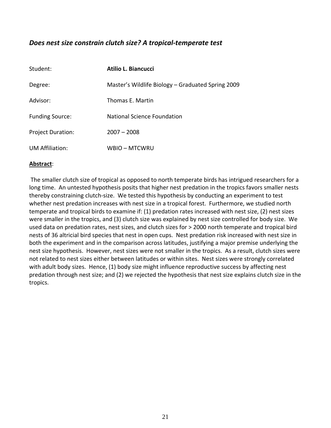# <span id="page-21-0"></span>*Does nest size constrain clutch size? A tropical‐temperate test*

| Student:                 | Atilio L. Biancucci                               |
|--------------------------|---------------------------------------------------|
| Degree:                  | Master's Wildlife Biology – Graduated Spring 2009 |
| Advisor:                 | Thomas E. Martin                                  |
| <b>Funding Source:</b>   | <b>National Science Foundation</b>                |
| <b>Project Duration:</b> | $2007 - 2008$                                     |
| <b>UM Affiliation:</b>   | <b>WBIO-MTCWRU</b>                                |

## **Abstract**:

The smaller clutch size of tropical as opposed to north temperate birds has intrigued researchers for a long time. An untested hypothesis posits that higher nest predation in the tropics favors smaller nests thereby constraining clutch‐size. We tested this hypothesis by conducting an experiment to test whether nest predation increases with nest size in a tropical forest. Furthermore, we studied north temperate and tropical birds to examine if: (1) predation rates increased with nest size, (2) nest sizes were smaller in the tropics, and (3) clutch size was explained by nest size controlled for body size. We used data on predation rates, nest sizes, and clutch sizes for > 2000 north temperate and tropical bird nests of 36 altricial bird species that nest in open cups. Nest predation risk increased with nest size in both the experiment and in the comparison across latitudes, justifying a major premise underlying the nest size hypothesis. However, nest sizes were not smaller in the tropics. As a result, clutch sizes were not related to nest sizes either between latitudes or within sites. Nest sizes were strongly correlated with adult body sizes. Hence, (1) body size might influence reproductive success by affecting nest predation through nest size; and (2) we rejected the hypothesis that nest size explains clutch size in the tropics.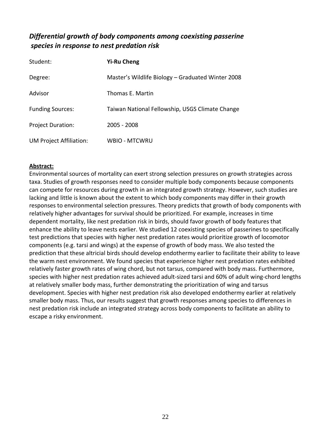# <span id="page-22-0"></span>*Differential growth of body components among coexisting passerine species in response to nest predation risk*

| Student:                       | <b>Yi-Ru Cheng</b>                                |
|--------------------------------|---------------------------------------------------|
| Degree:                        | Master's Wildlife Biology – Graduated Winter 2008 |
| Advisor                        | Thomas E. Martin                                  |
| <b>Funding Sources:</b>        | Taiwan National Fellowship, USGS Climate Change   |
| <b>Project Duration:</b>       | 2005 - 2008                                       |
| <b>UM Project Affiliation:</b> | <b>WBIO - MTCWRU</b>                              |

## **Abstract:**

Environmental sources of mortality can exert strong selection pressures on growth strategies across taxa. Studies of growth responses need to consider multiple body components because components can compete for resources during growth in an integrated growth strategy. However, such studies are lacking and little is known about the extent to which body components may differ in their growth responses to environmental selection pressures. Theory predicts that growth of body components with relatively higher advantages for survival should be prioritized. For example, increases in time dependent mortality, like nest predation risk in birds, should favor growth of body features that enhance the ability to leave nests earlier. We studied 12 coexisting species of passerines to specifically test predictions that species with higher nest predation rates would prioritize growth of locomotor components (e.g. tarsi and wings) at the expense of growth of body mass. We also tested the prediction that these altricial birds should develop endothermy earlier to facilitate their ability to leave the warm nest environment. We found species that experience higher nest predation rates exhibited relatively faster growth rates of wing chord, but not tarsus, compared with body mass. Furthermore, species with higher nest predation rates achieved adult-sized tarsi and 60% of adult wing-chord lengths at relatively smaller body mass, further demonstrating the prioritization of wing and tarsus development. Species with higher nest predation risk also developed endothermy earlier at relatively smaller body mass. Thus, our results suggest that growth responses among species to differences in nest predation risk include an integrated strategy across body components to facilitate an ability to escape a risky environment.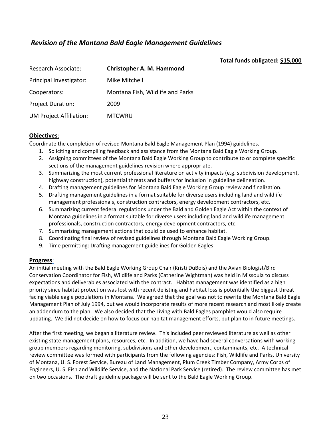# <span id="page-23-0"></span>*Revision of the Montana Bald Eagle Management Guidelines*

### **Total funds obligated: \$15,000**

| Research Associate:            | <b>Christopher A. M. Hammond</b> |
|--------------------------------|----------------------------------|
| Principal Investigator:        | Mike Mitchell                    |
| Cooperators:                   | Montana Fish, Wildlife and Parks |
| <b>Project Duration:</b>       | 2009                             |
| <b>UM Project Affiliation:</b> | <b>MTCWRU</b>                    |

#### **Objectives**:

Coordinate the completion of revised Montana Bald Eagle Management Plan (1994) guidelines.

- 1. Soliciting and compiling feedback and assistance from the Montana Bald Eagle Working Group.
- 2. Assigning committees of the Montana Bald Eagle Working Group to contribute to or complete specific sections of the management guidelines revision where appropriate.
- 3. Summarizing the most current professional literature on activity impacts (e.g. subdivision development, highway construction), potential threats and buffers for inclusion in guideline delineation.
- 4. Drafting management guidelines for Montana Bald Eagle Working Group review and finalization.
- 5. Drafting management guidelines in a format suitable for diverse users including land and wildlife management professionals, construction contractors, energy development contractors, etc.
- 6. Summarizing current federal regulations under the Bald and Golden Eagle Act within the context of Montana guidelines in a format suitable for diverse users including land and wildlife management professionals, construction contractors, energy development contractors, etc.
- 7. Summarizing management actions that could be used to enhance habitat.
- 8. Coordinating final review of revised guidelines through Montana Bald Eagle Working Group.
- 9. Time permitting: Drafting management guidelines for Golden Eagles

### **Progress**:

An initial meeting with the Bald Eagle Working Group Chair (Kristi DuBois) and the Avian Biologist/Bird Conservation Coordinator for Fish, Wildlife and Parks (Catherine Wightman) was held in Missoula to discuss expectations and deliverables associated with the contract. Habitat management was identified as a high priority since habitat protection was lost with recent delisting and habitat loss is potentially the biggest threat facing viable eagle populations in Montana. We agreed that the goal was not to rewrite the Montana Bald Eagle Management Plan of July 1994, but we would incorporate results of more recent research and most likely create an addendum to the plan. We also decided that the Living with Bald Eagles pamphlet would also require updating. We did not decide on how to focus our habitat management efforts, but plan to in future meetings.

After the first meeting, we began a literature review. This included peer reviewed literature as well as other existing state management plans, resources, etc. In addition, we have had several conversations with working group members regarding monitoring, subdivisions and other development, contaminants, etc. A technical review committee was formed with participants from the following agencies: Fish, Wildlife and Parks, University of Montana, U. S. Forest Service, Bureau of Land Management, Plum Creek Timber Company, Army Corps of Engineers, U. S. Fish and Wildlife Service, and the National Park Service (retired). The review committee has met on two occasions. The draft guideline package will be sent to the Bald Eagle Working Group.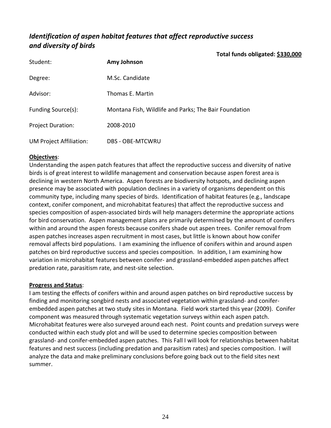# <span id="page-24-0"></span>*Identification of aspen habitat features that affect reproductive success and diversity of birds*

**Total funds obligated: \$330,000**

| Student:                       | Amy Johnson                                           |
|--------------------------------|-------------------------------------------------------|
| Degree:                        | M.Sc. Candidate                                       |
| Advisor:                       | Thomas E. Martin                                      |
| Funding Source(s):             | Montana Fish, Wildlife and Parks; The Bair Foundation |
| <b>Project Duration:</b>       | 2008-2010                                             |
| <b>UM Project Affiliation:</b> | DBS - OBE-MTCWRU                                      |

# **Objectives**:

Understanding the aspen patch features that affect the reproductive success and diversity of native birds is of great interest to wildlife management and conservation because aspen forest area is declining in western North America. Aspen forests are biodiversity hotspots, and declining aspen presence may be associated with population declines in a variety of organisms dependent on this community type, including many species of birds. Identification of habitat features (e.g., landscape context, conifer component, and microhabitat features) that affect the reproductive success and species composition of aspen‐associated birds will help managers determine the appropriate actions for bird conservation. Aspen management plans are primarily determined by the amount of conifers within and around the aspen forests because conifers shade out aspen trees. Conifer removal from aspen patches increases aspen recruitment in most cases, but little is known about how conifer removal affects bird populations. I am examining the influence of conifers within and around aspen patches on bird reproductive success and species composition. In addition, I am examining how variation in microhabitat features between conifer‐ and grassland‐embedded aspen patches affect predation rate, parasitism rate, and nest‐site selection.

## **Progress and Status**:

I am testing the effects of conifers within and around aspen patches on bird reproductive success by finding and monitoring songbird nests and associated vegetation within grassland- and coniferembedded aspen patches at two study sites in Montana. Field work started this year (2009). Conifer component was measured through systematic vegetation surveys within each aspen patch. Microhabitat features were also surveyed around each nest. Point counts and predation surveys were conducted within each study plot and will be used to determine species composition between grassland‐ and conifer‐embedded aspen patches. This Fall I will look for relationships between habitat features and nest success (including predation and parasitism rates) and species composition. I will analyze the data and make preliminary conclusions before going back out to the field sites next summer.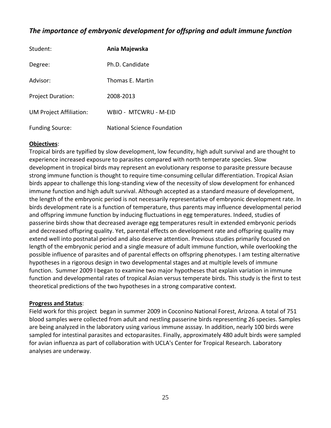# <span id="page-25-0"></span>*The importance of embryonic development for offspring and adult immune function*

| Student:                       | Ania Majewska               |
|--------------------------------|-----------------------------|
| Degree:                        | Ph.D. Candidate             |
| Advisor:                       | Thomas E. Martin            |
| <b>Project Duration:</b>       | 2008-2013                   |
| <b>UM Project Affiliation:</b> | WBIO - MTCWRU - M-FID       |
| <b>Funding Source:</b>         | National Science Foundation |

## **Objectives**:

Tropical birds are typified by slow development, low fecundity, high adult survival and are thought to experience increased exposure to parasites compared with north temperate species. Slow development in tropical birds may represent an evolutionary response to parasite pressure because strong immune function is thought to require time‐consuming cellular differentiation. Tropical Asian birds appear to challenge this long‐standing view of the necessity of slow development for enhanced immune function and high adult survival. Although accepted as a standard measure of development, the length of the embryonic period is not necessarily representative of embryonic development rate. In birds development rate is a function of temperature, thus parents may influence developmental period and offspring immune function by inducing fluctuations in egg temperatures. Indeed, studies of passerine birds show that decreased average egg temperatures result in extended embryonic periods and decreased offspring quality. Yet, parental effects on development rate and offspring quality may extend well into postnatal period and also deserve attention. Previous studies primarily focused on length of the embryonic period and a single measure of adult immune function, while overlooking the possible influence of parasites and of parental effects on offspring phenotypes. I am testing alternative hypotheses in a rigorous design in two developmental stages and at multiple levels of immune function. Summer 2009 I began to examine two major hypotheses that explain variation in immune function and developmental rates of tropical Asian versus temperate birds. This study is the first to test theoretical predictions of the two hypotheses in a strong comparative context.

### **Progress and Status**:

Field work for this project began in summer 2009 in Coconino National Forest, Arizona. A total of 751 blood samples were collected from adult and nestling passerine birds representing 26 species. Samples are being analyzed in the laboratory using various immune asssay. In addition, nearly 100 birds were sampled for intestinal parasites and ectoparasites. Finally, approximately 480 adult birds were sampled for avian influenza as part of collaboration with UCLA's Center for Tropical Research. Laboratory analyses are underway.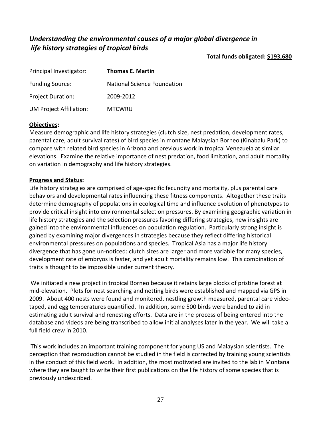# <span id="page-27-0"></span>*Understanding the environmental causes of a major global divergence in life history strategies of tropical birds*

**Total funds obligated: \$193,680**

| Principal Investigator:        | <b>Thomas E. Martin</b>            |
|--------------------------------|------------------------------------|
| <b>Funding Source:</b>         | <b>National Science Foundation</b> |
| <b>Project Duration:</b>       | 2009-2012                          |
| <b>UM Project Affiliation:</b> | <b>MTCWRU</b>                      |

# **Objectives:**

Measure demographic and life history strategies (clutch size, nest predation, development rates, parental care, adult survival rates) of bird species in montane Malaysian Borneo (Kinabalu Park) to compare with related bird species in Arizona and previous work in tropical Venezuela at similar elevations. Examine the relative importance of nest predation, food limitation, and adult mortality on variation in demography and life history strategies.

## **Progress and Status:**

Life history strategies are comprised of age‐specific fecundity and mortality, plus parental care behaviors and developmental rates influencing these fitness components. Altogether these traits determine demography of populations in ecological time and influence evolution of phenotypes to provide critical insight into environmental selection pressures. By examining geographic variation in life history strategies and the selection pressures favoring differing strategies, new insights are gained into the environmental influences on population regulation. Particularly strong insight is gained by examining major divergences in strategies because they reflect differing historical environmental pressures on populations and species. Tropical Asia has a major life history divergence that has gone un‐noticed: clutch sizes are larger and more variable for many species, development rate of embryos is faster, and yet adult mortality remains low. This combination of traits is thought to be impossible under current theory.

We initiated a new project in tropical Borneo because it retains large blocks of pristine forest at mid‐elevation. Plots for nest searching and netting birds were established and mapped via GPS in 2009. About 400 nests were found and monitored, nestling growth measured, parental care video‐ taped, and egg temperatures quantified. In addition, some 500 birds were banded to aid in estimating adult survival and renesting efforts. Data are in the process of being entered into the database and videos are being transcribed to allow initial analyses later in the year. We will take a full field crew in 2010.

This work includes an important training component for young US and Malaysian scientists. The perception that reproduction cannot be studied in the field is corrected by training young scientists in the conduct of this field work. In addition, the most motivated are invited to the lab in Montana where they are taught to write their first publications on the life history of some species that is previously undescribed.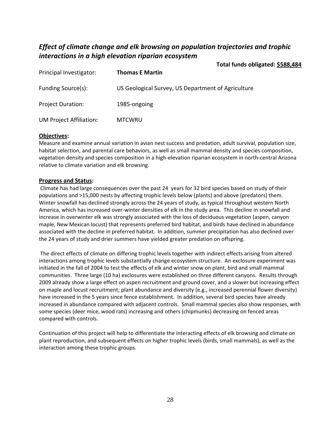# *Effect of climate change and elk browsing on population trajectories and trophic interactions in a high elevation riparian ecosystem*

|                         |                                                    | Total funds obligated: \$588,484 |
|-------------------------|----------------------------------------------------|----------------------------------|
| Principal Investigator: | <b>Thomas E Martin</b>                             |                                  |
| Funding Source(s):      | US Geological Survey, US Department of Agriculture |                                  |
| Project Duration:       | 1985-ongoing                                       |                                  |
| UM Project Affiliation: | <b>MTCWRU</b>                                      |                                  |

#### **Objectives:**

Measure and examine annual variation in avian nest success and predation, adult survival, population size, habitat selection, and parental care behaviors, as well as small mammal density and species composition, vegetation density and species composition in a high‐elevation riparian ecosystem in north‐central Arizona relative to climate variation and elk browsing.

#### **Progress and Status:**

Climate has had large consequences over the past 24 years for 32 bird species based on study of their populations and >15,000 nests by affecting trophic levels below (plants) and above (predators) them. Winter snowfall has declined strongly across the 24 years of study, as typical throughout western North America, which has increased over-winter densities of elk in the study area. This decline in snowfall and increase in overwinter elk was strongly associated with the loss of deciduous vegetation (aspen, canyon maple, New Mexican locust) that represents preferred bird habitat, and birds have declined in abundance associated with the decline in preferred habitat. In addition, summer precipitation has also declined over the 24 years of study and drier summers have yielded greater predation on offspring.

The direct effects of climate on differing trophic levels together with indirect effects arising from altered interactions among trophic levels substantially change ecosystem structure. An exclosure experiment was initiated in the fall of 2004 to test the effects of elk and winter snow on plant, bird and small mammal communities. Three large (10 ha) exclosures were established on three different canyons. Results through 2009 already show a large effect on aspen recruitment and ground cover, and a slower but increasing effect on maple and locust recruitment; plant abundance and diversity (e.g., increased perennial flower diversity) have increased in the 5 years since fence establishment. In addition, several bird species have already increased in abundance compared with adjacent controls. Small mammal species also show responses, with some species (deer mice, wood rats) increasing and others (chipmunks) decreasing on fenced areas compared with controls.

Continuation of this project will help to differentiate the interacting effects of elk browsing and climate on plant reproduction, and subsequent effects on higher trophic levels (birds, small mammals), as well as the interaction among these trophic groups.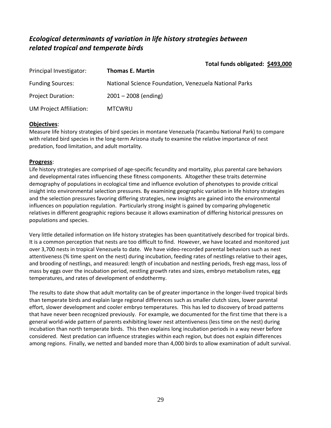# *Ecological determinants of variation in life history strategies between related tropical and temperate birds*

|                          | Total funds obligated: \$493,000                      |
|--------------------------|-------------------------------------------------------|
| Principal Investigator:  | <b>Thomas E. Martin</b>                               |
| <b>Funding Sources:</b>  | National Science Foundation, Venezuela National Parks |
| <b>Project Duration:</b> | $2001 - 2008$ (ending)                                |
| UM Project Affiliation:  | <b>MTCWRU</b>                                         |

## **Objectives**:

Measure life history strategies of bird species in montane Venezuela (Yacambu National Park) to compare with related bird species in the long-term Arizona study to examine the relative importance of nest predation, food limitation, and adult mortality.

## **Progress**:

Life history strategies are comprised of age‐specific fecundity and mortality, plus parental care behaviors and developmental rates influencing these fitness components. Altogether these traits determine demography of populations in ecological time and influence evolution of phenotypes to provide critical insight into environmental selection pressures. By examining geographic variation in life history strategies and the selection pressures favoring differing strategies, new insights are gained into the environmental influences on population regulation. Particularly strong insight is gained by comparing phylogenetic relatives in different geographic regions because it allows examination of differing historical pressures on populations and species.

Very little detailed information on life history strategies has been quantitatively described for tropical birds. It is a common perception that nests are too difficult to find. However, we have located and monitored just over 3,700 nests in tropical Venezuela to date. We have video‐recorded parental behaviors such as nest attentiveness (% time spent on the nest) during incubation, feeding rates of nestlings relative to their ages, and brooding of nestlings, and measured: length of incubation and nestling periods, fresh egg mass, loss of mass by eggs over the incubation period, nestling growth rates and sizes, embryo metabolism rates, egg temperatures, and rates of development of endothermy.

The results to date show that adult mortality can be of greater importance in the longer‐lived tropical birds than temperate birds and explain large regional differences such as smaller clutch sizes, lower parental effort, slower development and cooler embryo temperatures. This has led to discovery of broad patterns that have never been recognized previously. For example, we documented for the first time that there is a general world-wide pattern of parents exhibiting lower nest attentiveness (less time on the nest) during incubation than north temperate birds. This then explains long incubation periods in a way never before considered. Nest predation can influence strategies within each region, but does not explain differences among regions. Finally, we netted and banded more than 4,000 birds to allow examination of adult survival.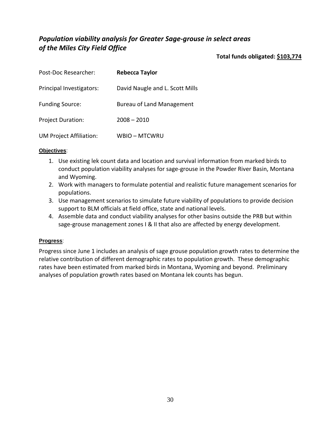# <span id="page-30-0"></span>*Population viability analysis for Greater Sage‐grouse in select areas of the Miles City Field Office*

**Total funds obligated: \$103,774**

| Post-Doc Researcher:           | <b>Rebecca Taylor</b>            |
|--------------------------------|----------------------------------|
| Principal Investigators:       | David Naugle and L. Scott Mills  |
| <b>Funding Source:</b>         | <b>Bureau of Land Management</b> |
| <b>Project Duration:</b>       | $2008 - 2010$                    |
| <b>UM Project Affiliation:</b> | <b>WBIO-MTCWRU</b>               |

## **Objectives**:

- 1. Use existing lek count data and location and survival information from marked birds to conduct population viability analyses for sage‐grouse in the Powder River Basin, Montana and Wyoming.
- 2. Work with managers to formulate potential and realistic future management scenarios for populations.
- 3. Use management scenarios to simulate future viability of populations to provide decision support to BLM officials at field office, state and national levels.
- 4. Assemble data and conduct viability analyses for other basins outside the PRB but within sage-grouse management zones I & II that also are affected by energy development.

## **Progress**:

Progress since June 1 includes an analysis of sage grouse population growth rates to determine the relative contribution of different demographic rates to population growth. These demographic rates have been estimated from marked birds in Montana, Wyoming and beyond. Preliminary analyses of population growth rates based on Montana lek counts has begun.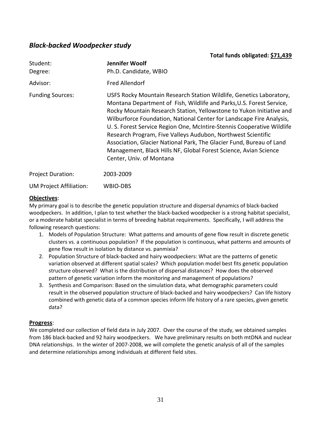# <span id="page-31-0"></span>*Black‐backed Woodpecker study*

| Student:<br>Degree:            | Jennifer Woolf<br>Ph.D. Candidate, WBIO                                                                                                                                                                                                                                                                                                                                                                                                                                                                                                                                                                       |
|--------------------------------|---------------------------------------------------------------------------------------------------------------------------------------------------------------------------------------------------------------------------------------------------------------------------------------------------------------------------------------------------------------------------------------------------------------------------------------------------------------------------------------------------------------------------------------------------------------------------------------------------------------|
| Advisor:                       | <b>Fred Allendorf</b>                                                                                                                                                                                                                                                                                                                                                                                                                                                                                                                                                                                         |
| <b>Funding Sources:</b>        | USFS Rocky Mountain Research Station Wildlife, Genetics Laboratory,<br>Montana Department of Fish, Wildlife and Parks, U.S. Forest Service,<br>Rocky Mountain Research Station, Yellowstone to Yukon Initiative and<br>Wilburforce Foundation, National Center for Landscape Fire Analysis,<br>U. S. Forest Service Region One, McIntire-Stennis Cooperative Wildlife<br>Research Program, Five Valleys Audubon, Northwest Scientific<br>Association, Glacier National Park, The Glacier Fund, Bureau of Land<br>Management, Black Hills NF, Global Forest Science, Avian Science<br>Center, Univ. of Montana |
| <b>Project Duration:</b>       | 2003-2009                                                                                                                                                                                                                                                                                                                                                                                                                                                                                                                                                                                                     |
| <b>UM Project Affiliation:</b> | WBIO-DBS                                                                                                                                                                                                                                                                                                                                                                                                                                                                                                                                                                                                      |

**Total funds obligated: \$71,439**

## **Objectives**:

My primary goal is to describe the genetic population structure and dispersal dynamics of black‐backed woodpeckers. In addition, I plan to test whether the black-backed woodpecker is a strong habitat specialist, or a moderate habitat specialist in terms of breeding habitat requirements. Specifically, I will address the following research questions:

- 1. Models of Population Structure: What patterns and amounts of gene flow result in discrete genetic clusters vs. a continuous population? If the population is continuous, what patterns and amounts of gene flow result in isolation by distance vs. panmixia?
- 2. Population Structure of black‐backed and hairy woodpeckers: What are the patterns of genetic variation observed at different spatial scales? Which population model best fits genetic population structure observed? What is the distribution of dispersal distances? How does the observed pattern of genetic variation inform the monitoring and management of populations?
- 3. Synthesis and Comparison: Based on the simulation data, what demographic parameters could result in the observed population structure of black-backed and hairy woodpeckers? Can life history combined with genetic data of a common species inform life history of a rare species, given genetic data?

### **Progress**:

We completed our collection of field data in July 2007. Over the course of the study, we obtained samples from 186 black-backed and 92 hairy woodpeckers. We have preliminary results on both mtDNA and nuclear DNA relationships. In the winter of 2007‐2008, we will complete the genetic analysis of all of the samples and determine relationships among individuals at different field sites.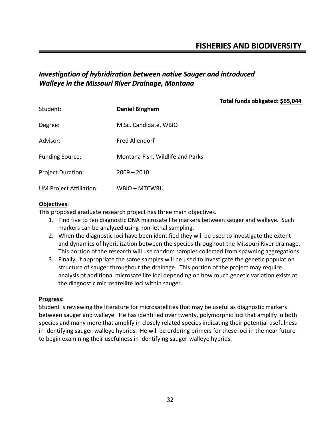# <span id="page-32-0"></span>*Investigation of hybridization between native Sauger and introduced Walleye in the Missouri River Drainage, Montana*

|                          |                                  | Total funds obligated: \$65,044 |
|--------------------------|----------------------------------|---------------------------------|
| Student:                 | <b>Daniel Bingham</b>            |                                 |
| Degree:                  | M.Sc. Candidate, WBIO            |                                 |
| Advisor:                 | <b>Fred Allendorf</b>            |                                 |
| <b>Funding Source:</b>   | Montana Fish, Wildlife and Parks |                                 |
| <b>Project Duration:</b> | $2009 - 2010$                    |                                 |
| UM Project Affiliation:  | WBIO – MTCWRU                    |                                 |

### **Objectives**:

This proposed graduate research project has three main objectives.

- 1. Find five to ten diagnostic DNA microsatellite markers between sauger and walleye. Such markers can be analyzed using non‐lethal sampling.
- 2. When the diagnostic loci have been identified they will be used to investigate the extent and dynamics of hybridization between the species throughout the Missouri River drainage. This portion of the research will use random samples collected from spawning aggregations.
- 3. Finally, if appropriate the same samples will be used to investigate the genetic population structure of sauger throughout the drainage. This portion of the project may require analysis of additional microsatellite loci depending on how much genetic variation exists at the diagnostic microsatellite loci within sauger.

### **Progress:**

Student is reviewing the literature for microsatellites that may be useful as diagnostic markers between sauger and walleye. He has identified over twenty, polymorphic loci that amplify in both species and many more that amplify in closely related species indicating their potential usefulness in identifying sauger‐walleye hybrids. He will be ordering primers for these loci in the near future to begin examining their usefulness in identifying sauger‐walleye hybrids.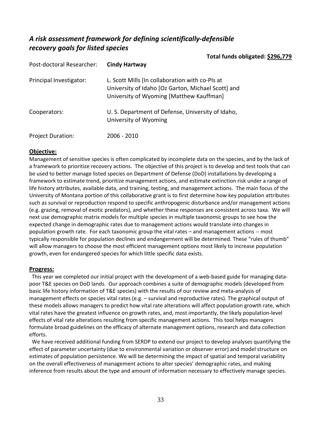# <span id="page-33-0"></span>*A risk assessment framework for defining scientifically‐defensible recovery goals for listed species*

**Total funds obligated: \$296,779**

| Post-doctoral Researcher: | <b>Cindy Hartway</b>                                                                                                                              |
|---------------------------|---------------------------------------------------------------------------------------------------------------------------------------------------|
| Principal Investigator:   | L. Scott Mills (In collaboration with co-PIs at<br>University of Idaho [Oz Garton, Michael Scott] and<br>University of Wyoming [Matthew Kauffman] |
| Cooperators:              | U. S. Department of Defense, University of Idaho,<br>University of Wyoming                                                                        |
| <b>Project Duration:</b>  | 2006 - 2010                                                                                                                                       |

## **Objective:**

Management of sensitive species is often complicated by incomplete data on the species, and by the lack of a framework to prioritize recovery actions. The objective of this project is to develop and test tools that can be used to better manage listed species on Department of Defense (DoD) installations by developing a framework to estimate trend, prioritize management actions, and estimate extinction risk under a range of life history attributes, available data, and training, testing, and management actions. The main focus of the University of Montana portion of this collaborative grant is to first determine how key population attributes such as survival or reproduction respond to specific anthropogenic disturbance and/or management actions (e.g. grazing, removal of exotic predators), and whether these responses are consistent across taxa. We will next use demographic matrix models for multiple species in multiple taxonomic groups to see how the expected change in demographic rates due to management actions would translate into changes in population growth rate. For each taxonomic group the vital rates – and management actions ‐‐ most typically responsible for population declines and endangerment will be determined. These "rules of thumb" will allow managers to choose the most efficient management options most likely to increase population growth, even for endangered species for which little specific data exists.

## **Progress:**

This year we completed our initial project with the development of a web-based guide for managing datapoor T&E species on DoD lands. Our approach combines a suite of demographic models (developed from basic life history information of T&E species) with the results of our review and meta-analysis of management effects on species vital rates (e.g. – survival and reproductive rates). The graphical output of these models allows managers to predict how vital rate alterations will affect population growth rate, which vital rates have the greatest influence on growth rates, and, most importantly, the likely population‐level effects of vital rate alterations resulting from specific management actions. This tool helps managers formulate broad guidelines on the efficacy of alternate management options, research and data collection efforts.

 We have received additional funding from SERDP to extend our project to develop analyses quantifying the effect of parameter uncertainty (due to environmental variation or observer error) and model structure on estimates of population persistence. We will be determining the impact of spatial and temporal variability on the overall effectiveness of management actions to alter species' demographic rates, and making inference from results about the type and amount of information necessary to effectively manage species.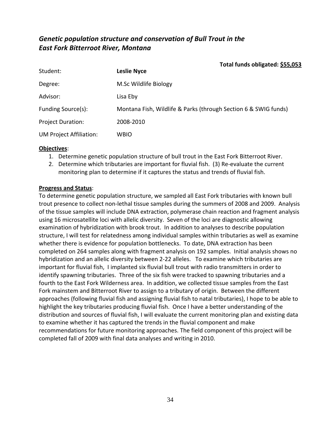# <span id="page-34-0"></span>*Genetic population structure and conservation of Bull Trout in the East Fork Bitterroot River, Montana*

| Total funds obligated: \$55,053                                 |
|-----------------------------------------------------------------|
| <b>Leslie Nyce</b>                                              |
| M.Sc Wildlife Biology                                           |
| Lisa Eby                                                        |
| Montana Fish, Wildlife & Parks (through Section 6 & SWIG funds) |
| 2008-2010                                                       |
| <b>WBIO</b>                                                     |
|                                                                 |

## **Objectives**:

- 1. Determine genetic population structure of bull trout in the East Fork Bitterroot River.
- 2. Determine which tributaries are important for fluvial fish. (3) Re-evaluate the current monitoring plan to determine if it captures the status and trends of fluvial fish.

## **Progress and Status**:

To determine genetic population structure, we sampled all East Fork tributaries with known bull trout presence to collect non‐lethal tissue samples during the summers of 2008 and 2009. Analysis of the tissue samples will include DNA extraction, polymerase chain reaction and fragment analysis using 16 microsatellite loci with allelic diversity. Seven of the loci are diagnostic allowing examination of hybridization with brook trout. In addition to analyses to describe population structure, I will test for relatedness among individual samples within tributaries as well as examine whether there is evidence for population bottlenecks. To date, DNA extraction has been completed on 264 samples along with fragment analysis on 192 samples. Initial analysis shows no hybridization and an allelic diversity between 2‐22 alleles. To examine which tributaries are important for fluvial fish, I implanted six fluvial bull trout with radio transmitters in order to identify spawning tributaries. Three of the six fish were tracked to spawning tributaries and a fourth to the East Fork Wilderness area. In addition, we collected tissue samples from the East Fork mainstem and Bitterroot River to assign to a tributary of origin. Between the different approaches (following fluvial fish and assigning fluvial fish to natal tributaries), I hope to be able to highlight the key tributaries producing fluvial fish. Once I have a better understanding of the distribution and sources of fluvial fish, I will evaluate the current monitoring plan and existing data to examine whether it has captured the trends in the fluvial component and make recommendations for future monitoring approaches. The field component of this project will be completed fall of 2009 with final data analyses and writing in 2010.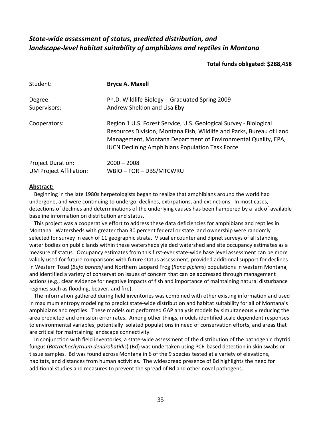# <span id="page-35-0"></span>*State‐wide assessment of status, predicted distribution, and landscape‐level habitat suitability of amphibians and reptiles in Montana*

### **Total funds obligated: \$288,458**

| Student:                 | <b>Bryce A. Maxell</b>                                                                                                                                                                                                                                               |
|--------------------------|----------------------------------------------------------------------------------------------------------------------------------------------------------------------------------------------------------------------------------------------------------------------|
| Degree:                  | Ph.D. Wildlife Biology - Graduated Spring 2009                                                                                                                                                                                                                       |
| Supervisors:             | Andrew Sheldon and Lisa Eby                                                                                                                                                                                                                                          |
| Cooperators:             | Region 1 U.S. Forest Service, U.S. Geological Survey - Biological<br>Resources Division, Montana Fish, Wildlife and Parks, Bureau of Land<br>Management, Montana Department of Environmental Quality, EPA,<br><b>IUCN Declining Amphibians Population Task Force</b> |
| <b>Project Duration:</b> | $2000 - 2008$                                                                                                                                                                                                                                                        |
| UM Project Affiliation:  | WBIO - FOR - DBS/MTCWRU                                                                                                                                                                                                                                              |

#### **Abstract:**

Beginning in the late 1980s herpetologists began to realize that amphibians around the world had undergone, and were continuing to undergo, declines, extirpations, and extinctions. In most cases, detections of declines and determinations of the underlying causes has been hampered by a lack of available baseline information on distribution and status.

This project was a cooperative effort to address these data deficiencies for amphibians and reptiles in Montana. Watersheds with greater than 30 percent federal or state land ownership were randomly selected for survey in each of 11 geographic strata. Visual encounter and dipnet surveys of all standing water bodies on public lands within these watersheds yielded watershed and site occupancy estimates as a measure of status. Occupancy estimates from this first-ever state-wide base level assessment can be more validly used for future comparisons with future status assessment, provided additional support for declines in Western Toad (*Bufo boreas)* and Northern Leopard Frog (*Rana pipiens*) populations in western Montana, and identified a variety of conservation issues of concern that can be addressed through management actions (e.g., clear evidence for negative impacts of fish and importance of maintaining natural disturbance regimes such as flooding, beaver, and fire).

The information gathered during field inventories was combined with other existing information and used in maximum entropy modeling to predict state-wide distribution and habitat suitability for all of Montana's amphibians and reptiles. These models out performed GAP analysis models by simultaneously reducing the area predicted and omission error rates. Among other things, models identified scale dependent responses to environmental variables, potentially isolated populations in need of conservation efforts, and areas that are critical for maintaining landscape connectivity.

In conjunction with field inventories, a state-wide assessment of the distribution of the pathogenic chytrid fungus (*Batrachochytrium dendrobatidis*) (Bd) was undertaken using PCR‐based detection in skin swabs or tissue samples. Bd was found across Montana in 6 of the 9 species tested at a variety of elevations, habitats, and distances from human activities. The widespread presence of Bd highlights the need for additional studies and measures to prevent the spread of Bd and other novel pathogens.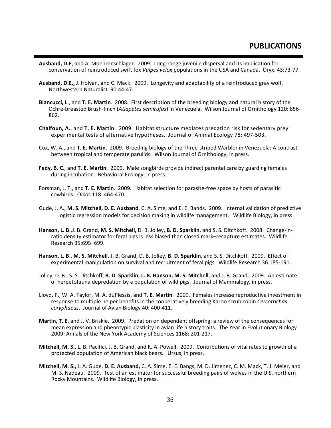- <span id="page-36-0"></span>**Ausband, D.E**, and A. Moehrenschlager. 2009. Long‐range juvenile dispersal and its implication for conservation of reintroduced swift fox *Vulpes velox* populations in the USA and Canada. Oryx. 43:73‐77.
- **Ausband, D.E.,** J. Holyan, and C. Mack. 2009. Longevity and adaptability of a reintroduced gray wolf. Northwestern Naturalist. 90:44‐47.
- **Biancucci, L**., and **T. E. Martin**. 2008. First description of the breeding biology and natural history of the Ochre‐breasted Brush‐finch (*Atlapetes semirufus*) in Venezuela. Wilson Journal of Ornithology 120: 856‐ 862.
- **Chalfoun, A.**, and **T. E. Martin**. 2009. Habitat structure mediates predation risk for sedentary prey: experimental tests of alternative hypotheses. Journal of Animal Ecology 78: 497‐503.
- Cox, W. A., and **T. E. Martin**. 2009. Breeding biology of the Three‐striped Warbler in Venezuela: A contrast between tropical and temperate parulids. Wilson Journal of Ornithology, in press.
- **Fedy, B. C**., and **T. E. Martin**. 2009. Male songbirds provide indirect parental care by guarding females during incubation. Behavioral Ecology, in press.
- Forsman, J. T., and **T. E. Martin**. 2009. Habitat selection for parasite‐free space by hosts of parasitic cowbirds. Oikos 118: 464‐470.
- Gude, J. A., **M. S. Mitchell, D. E. Ausband**, C. A. Sime, and E. E. Bands. 2009. Internal validation of predictive logistic regression models for decision making in wildlife management. Wildlife Biology, in press.
- **Hanson, L. B**.,J. B. Grand, **M. S. Mitchell,** D. B. Jolley, **B. D. Sparklin**, and S. S. Ditchkoff. 2008. Change‐in‐ ratio density estimator for feral pigs is less biased than closed mark–recapture estimates. Wildlife Research 35:695–699.
- **Hanson, L. B**., **M. S. Mitchell**, J. B. Grand, D. B. Jolley, **B. D. Sparklin**, and S. S. Ditchkoff. 2009. Effect of experimental manipulation on survival and recruitment of feral pigs. Wildlife Research 36:185‐191.
- Jolley, D. B., S. S. Ditchkoff, **B. D. Sparklin, L. B. Hanson, M. S. Mitchell**, and J. B. Grand. 2009. An estimate of herpetofauna depredation by a population of wild pigs. Journal of Mammalogy, in press.
- Lloyd, P., W. A. Taylor, M. A. duPlessis, and **T. E. Martin**. 2009. Females increase reproductive investment in response to multiple helper benefits in the cooperatively breeding Karoo scrub‐robin *Cercotrichas coryphaeus*. Journal of Avian Biology 40: 400‐411.
- **Martin, T. E**. and J. V. Briskie. 2009. Predation on dependent offspring: a review of the consequences for mean expression and phenotypic plasticity in avian life history traits. The Year in Evolutionary Biology 2009: Annals of the New York Academy of Sciences 1168: 201‐217.
- **Mitchell, M. S.,** L. B. Pacifici, J. B. Grand, and R. A. Powell. 2009. Contributions of vital rates to growth of a protected population of American black bears. Ursus, in press.
- **Mitchell, M. S.,** J. A. Gude, **D. E. Ausband,** C. A. Sime, E. E. Bangs, M. D. Jimenez, C. M. Mack, T. J. Meier, and M. S. Nadeau. 2009. Test of an estimator for successful breeding pairs of wolves in the U.S. northern Rocky Mountains. WIldlife Biology, in press.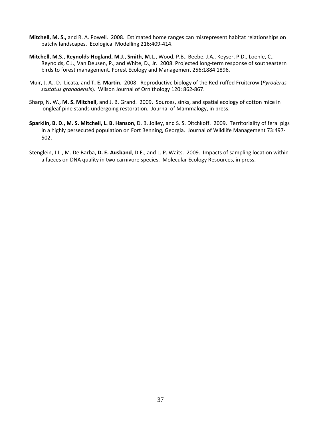- **Mitchell, M. S.,** and R. A. Powell. 2008. Estimated home ranges can misrepresent habitat relationships on patchy landscapes. Ecological Modelling 216:409‐414.
- **Mitchell, M.S., Reynolds‐Hogland, M.J., Smith, M.L.,** Wood, P.B., Beebe, J.A., Keyser, P.D., Loehle, C., Reynolds, C.J., Van Deusen, P., and White, D., Jr. 2008. Projected long‐term response of southeastern birds to forest management. Forest Ecology and Management 256:1884 1896.
- Muir, J. A., D. Licata, and **T. E. Martin**. 2008. Reproductive biology of the Red‐ruffed Fruitcrow (*Pyroderus scutatus granadensis*). Wilson Journal of Ornithology 120: 862‐867.
- Sharp, N. W., **M. S. Mitchell**, and J. B. Grand. 2009. Sources, sinks, and spatial ecology of cotton mice in longleaf pine stands undergoing restoration. Journal of Mammalogy, in press.
- **Sparklin, B. D., M. S. Mitchell, L. B. Hanson**, D. B. Jolley, and S. S. Ditchkoff. 2009. Territoriality of feral pigs in a highly persecuted population on Fort Benning, Georgia. Journal of Wildlife Management 73:497‐ 502.
- Stenglein, J.L., M. De Barba, **D. E. Ausband**, D.E., and L. P. Waits. 2009. Impacts of sampling location within a faeces on DNA quality in two carnivore species. Molecular Ecology Resources, in press.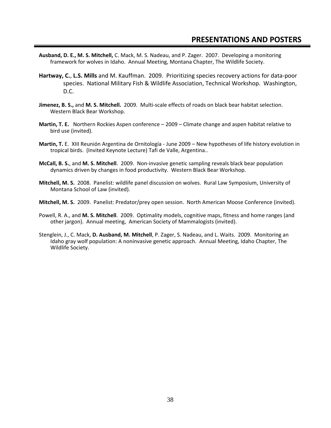# **PRESENTATIONS AND POSTERS**

- <span id="page-38-0"></span>**Ausband, D. E., M. S. Mitchell,** C. Mack, M. S. Nadeau, and P. Zager. 2007. Developing a monitoring framework for wolves in Idaho. Annual Meeting, Montana Chapter, The Wildlife Society.
- **Hartway, C.**, **L.S. Mills** and M. Kauffman. 2009. Prioritizing species recovery actions for data‐poor species. National Military Fish & Wildlife Association, Technical Workshop. Washington, D.C.
- **Jimenez, B. S.,** and **M. S. Mitchell.** 2009. Multi‐scale effects of roads on black bear habitat selection. Western Black Bear Workshop.
- **Martin, T. E.** Northern Rockies Aspen conference 2009 Climate change and aspen habitat relative to bird use (invited).
- **Martin, T.** E. XIII Reunión Argentina de Ornitología ‐ June 2009 New hypotheses of life history evolution in tropical birds. (Invited Keynote Lecture) Tafi de Valle, Argentina..
- **McCall, B. S.**, and **M. S. Mitchell**. 2009. Non‐invasive genetic sampling reveals black bear population dynamics driven by changes in food productivity. Western Black Bear Workshop.
- **Mitchell, M. S.** 2008. Panelist: wildlife panel discussion on wolves. Rural Law Symposium, University of Montana School of Law (invited).
- **Mitchell, M. S.** 2009. Panelist: Predator/prey open session. North American Moose Conference (invited).
- Powell, R. A., and **M. S. Mitchell**. 2009. Optimality models, cognitive maps, fitness and home ranges (and other jargon). Annual meeting, American Society of Mammalogists (invited).
- Stenglein, J., C. Mack, **D. Ausband, M. Mitchell**, P. Zager, S. Nadeau, and L. Waits. 2009. Monitoring an Idaho gray wolf population: A noninvasive genetic approach. Annual Meeting, Idaho Chapter, The Wildlife Society.